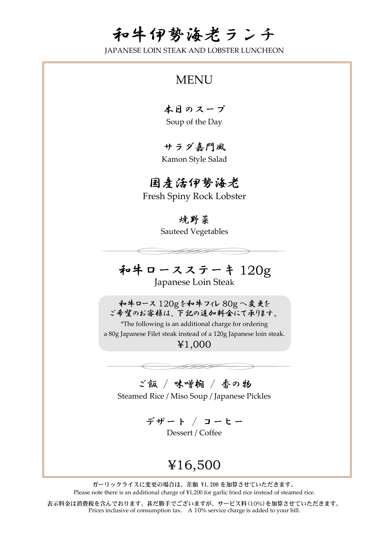# 和牛伊勢海老ランチ

JAPANESE LOIN STEAK AND LOBSTER LUNCHEON

### **MENU**

本日のスープ Soup of the Day

サラダ嘉門風 Kamon Style Salad

### 国産活伊勢海老

Fresh Spiny Rock Lobster

#### 焼野菜

Sauteed Vegetables

#### 和牛ロースステーキ 120g Japanese Loin Steak

和牛ロース 120g を和牛フィレ 80g へ変更を ご希望のお客様は、下記の追加料金にて承ります。

\*The following is an additional charge for ordering a 80g Japanese Filet steak instead of a 120g Japanese loin steak.

¥1,000

### ご飯 / 味噌椀 / 香の物

Steamed Rice / Miso Soup / Japanese Pickles

デザート / コーヒー Dessert / Coffee

## ¥16,500

ガーリックライスに変更の場合は、差額 ¥1,200 を加算させていただきます。 Please note there is an additional charge of ¥1,200 for garlic fried rice instead of steamed rice.

表示料金は消費税を含んでおります。甚だ勝手でございますが、サービス料(10%)を加算させていただきます。 Prices inclusive of consumption tax. A 10% service charge is added to your bill.